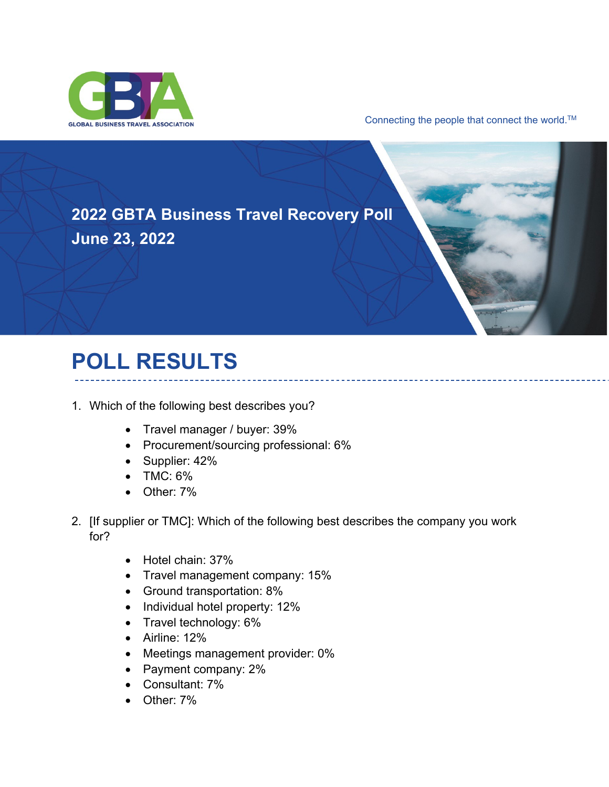

Connecting the people that connect the world.<sup>™</sup>

**2022 GBTA Business Travel Recovery Poll June 23, 2022**

## **POLL RESULTS**

- 1. Which of the following best describes you?
	- Travel manager / buyer: 39%
	- Procurement/sourcing professional: 6%
	- Supplier: 42%
	- TMC: 6%
	- Other: 7%
- 2. [If supplier or TMC]: Which of the following best describes the company you work for?
	- Hotel chain: 37%
	- Travel management company: 15%
	- Ground transportation: 8%
	- Individual hotel property: 12%
	- Travel technology: 6%
	- Airline: 12%
	- Meetings management provider: 0%
	- Payment company: 2%
	- Consultant: 7%
	- Other: 7%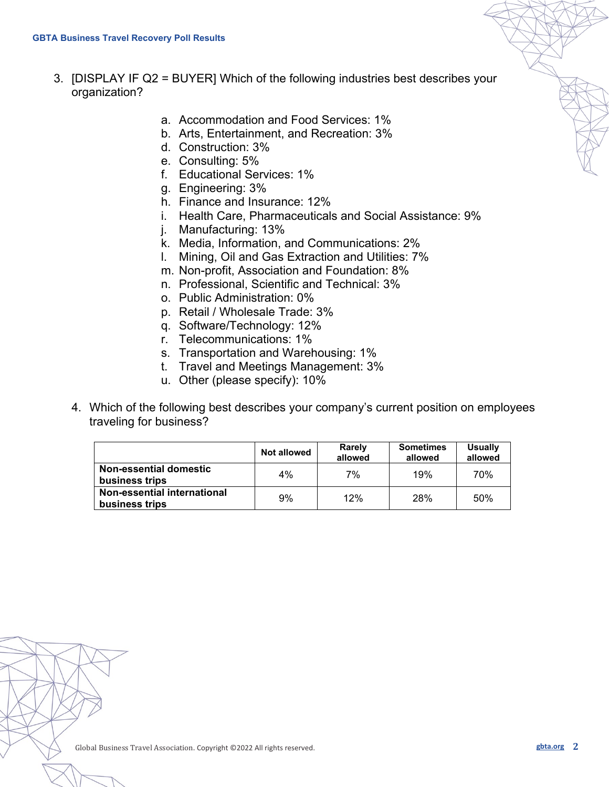- 3. [DISPLAY IF Q2 = BUYER] Which of the following industries best describes your organization?
	- a. Accommodation and Food Services: 1%
	- b. Arts, Entertainment, and Recreation: 3%
	- d. Construction: 3%
	- e. Consulting: 5%
	- f. Educational Services: 1%
	- g. Engineering: 3%
	- h. Finance and Insurance: 12%
	- i. Health Care, Pharmaceuticals and Social Assistance: 9%
	- j. Manufacturing: 13%
	- k. Media, Information, and Communications: 2%
	- l. Mining, Oil and Gas Extraction and Utilities: 7%
	- m. Non-profit, Association and Foundation: 8%
	- n. Professional, Scientific and Technical: 3%
	- o. Public Administration: 0%
	- p. Retail / Wholesale Trade: 3%
	- q. Software/Technology: 12%
	- r. Telecommunications: 1%
	- s. Transportation and Warehousing: 1%
	- t. Travel and Meetings Management: 3%
	- u. Other (please specify): 10%
	- 4. Which of the following best describes your company's current position on employees traveling for business?

|                                                 | Not allowed | Rarely<br>allowed | <b>Sometimes</b><br>allowed | <b>Usually</b><br>allowed |
|-------------------------------------------------|-------------|-------------------|-----------------------------|---------------------------|
| <b>Non-essential domestic</b><br>business trips | 4%          | 7%                | 19%                         | 70%                       |
| Non-essential international<br>business trips   | 9%          | 12%               | 28%                         | 50%                       |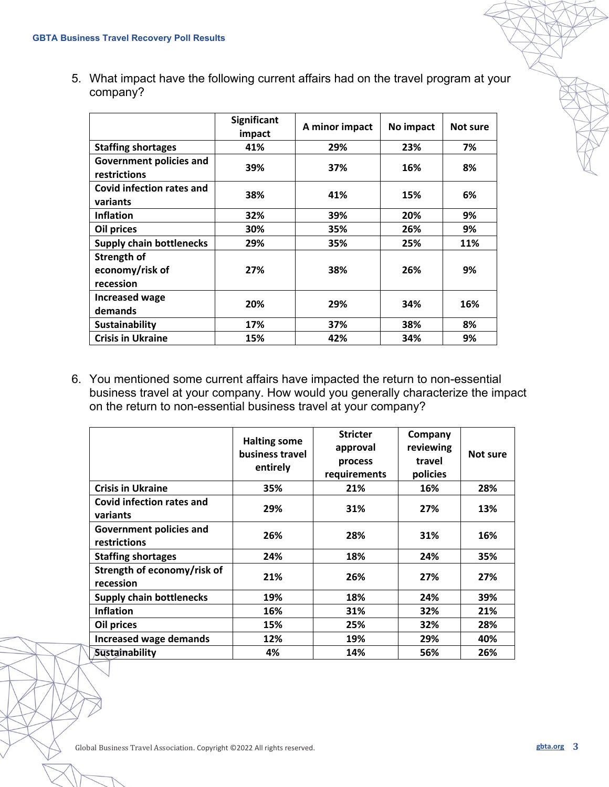5. What impact have the following current affairs had on the travel program at your company?

|                                                | <b>Significant</b><br>impact | A minor impact | No impact | Not sure |
|------------------------------------------------|------------------------------|----------------|-----------|----------|
| <b>Staffing shortages</b>                      | 41%                          | 29%            | 23%       | 7%       |
| <b>Government policies and</b><br>restrictions | 39%                          | 37%            | 16%       | 8%       |
| <b>Covid infection rates and</b><br>variants   | 38%                          | 41%            | 15%       | 6%       |
| <b>Inflation</b>                               | 32%                          | 39%            | 20%       | 9%       |
| Oil prices                                     | 30%                          | 35%            | 26%       | 9%       |
| <b>Supply chain bottlenecks</b>                | 29%                          | 35%            | 25%       | 11%      |
| Strength of<br>economy/risk of<br>recession    | 27%                          | 38%            | 26%       | 9%       |
| <b>Increased wage</b><br>demands               | 20%                          | 29%            | 34%       | 16%      |
| <b>Sustainability</b>                          | 17%                          | 37%            | 38%       | 8%       |
| <b>Crisis in Ukraine</b>                       | 15%                          | 42%            | 34%       | 9%       |

6. You mentioned some current affairs have impacted the return to non-essential business travel at your company. How would you generally characterize the impact on the return to non-essential business travel at your company?

|                                                | <b>Halting some</b><br>business travel<br>entirely | <b>Stricter</b><br>approval<br>process<br>requirements | Company<br>reviewing<br>travel<br>policies | Not sure |
|------------------------------------------------|----------------------------------------------------|--------------------------------------------------------|--------------------------------------------|----------|
| <b>Crisis in Ukraine</b>                       | 35%                                                | 21%                                                    | 16%                                        | 28%      |
| Covid infection rates and<br>variants          | 29%                                                | 31%                                                    | 27%                                        | 13%      |
| <b>Government policies and</b><br>restrictions | 26%                                                | 28%                                                    | 31%                                        | 16%      |
| <b>Staffing shortages</b>                      | 24%                                                | 18%                                                    | 24%                                        | 35%      |
| Strength of economy/risk of<br>recession       | 21%                                                | 26%                                                    | 27%                                        | 27%      |
| <b>Supply chain bottlenecks</b>                | 19%                                                | 18%                                                    | 24%                                        | 39%      |
| <b>Inflation</b>                               | 16%                                                | 31%                                                    | 32%                                        | 21%      |
| Oil prices                                     | 15%                                                | 25%                                                    | 32%                                        | 28%      |
| Increased wage demands                         | 12%                                                | 19%                                                    | 29%                                        | 40%      |
| Sustainability                                 | 4%                                                 | 14%                                                    | 56%                                        | 26%      |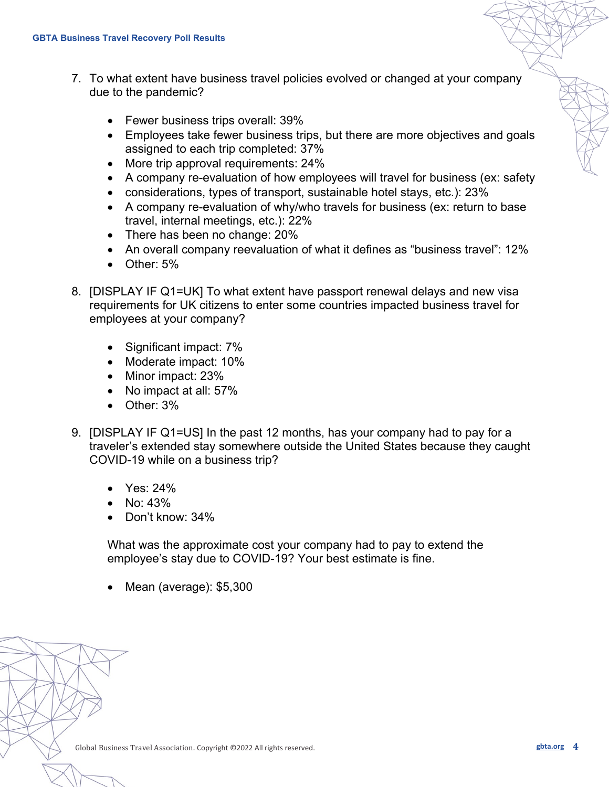- 7. To what extent have business travel policies evolved or changed at your company due to the pandemic?
	- Fewer business trips overall: 39%
	- Employees take fewer business trips, but there are more objectives and goals assigned to each trip completed: 37%
	- More trip approval requirements: 24%
	- A company re-evaluation of how employees will travel for business (ex: safety
	- considerations, types of transport, sustainable hotel stays, etc.): 23%
	- A company re-evaluation of why/who travels for business (ex: return to base travel, internal meetings, etc.): 22%
	- There has been no change: 20%
	- An overall company reevaluation of what it defines as "business travel": 12%
	- Other: 5%
- 8. [DISPLAY IF Q1=UK] To what extent have passport renewal delays and new visa requirements for UK citizens to enter some countries impacted business travel for employees at your company?
	- Significant impact: 7%
	- Moderate impact: 10%
	- Minor impact: 23%
	- No impact at all: 57%
	- Other: 3%
- 9. [DISPLAY IF Q1=US] In the past 12 months, has your company had to pay for a traveler's extended stay somewhere outside the United States because they caught COVID-19 while on a business trip?
	- Yes: 24%
	- No: 43%
	- Don't know: 34%

What was the approximate cost your company had to pay to extend the employee's stay due to COVID-19? Your best estimate is fine.

• Mean (average): \$5,300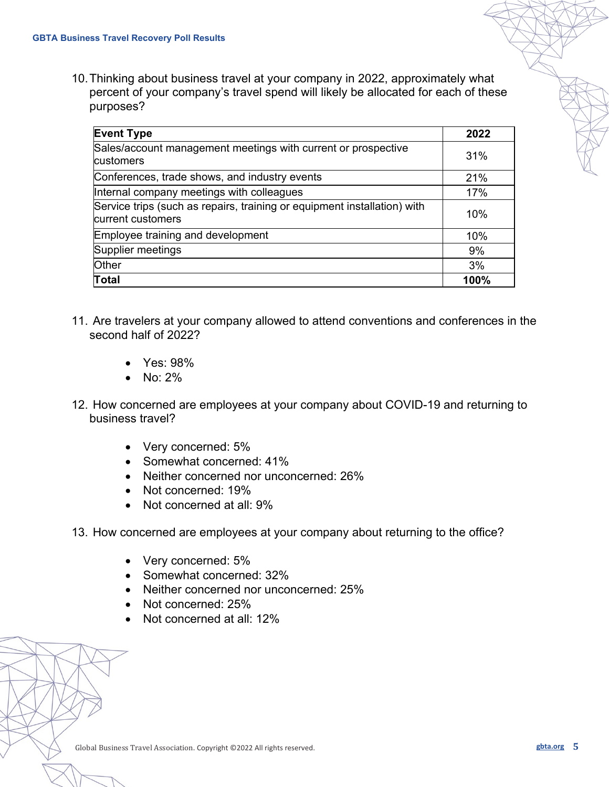10.Thinking about business travel at your company in 2022, approximately what percent of your company's travel spend will likely be allocated for each of these purposes?

| <b>Event Type</b>                                                                             | 2022 |
|-----------------------------------------------------------------------------------------------|------|
| Sales/account management meetings with current or prospective<br>customers                    | 31%  |
| Conferences, trade shows, and industry events                                                 | 21%  |
| Internal company meetings with colleagues                                                     | 17%  |
| Service trips (such as repairs, training or equipment installation) with<br>current customers | 10%  |
| Employee training and development                                                             | 10%  |
| Supplier meetings                                                                             | 9%   |
| Other                                                                                         | 3%   |
| Total                                                                                         | 100% |

- 11. Are travelers at your company allowed to attend conventions and conferences in the second half of 2022?
	- Yes: 98%
	- No: 2%
- 12. How concerned are employees at your company about COVID-19 and returning to business travel?
	- Very concerned: 5%
	- Somewhat concerned: 41%
	- Neither concerned nor unconcerned: 26%
	- Not concerned: 19%
	- Not concerned at all: 9%
- 13. How concerned are employees at your company about returning to the office?
	- Very concerned: 5%
	- Somewhat concerned: 32%
	- Neither concerned nor unconcerned: 25%
	- Not concerned: 25%
	- Not concerned at all: 12%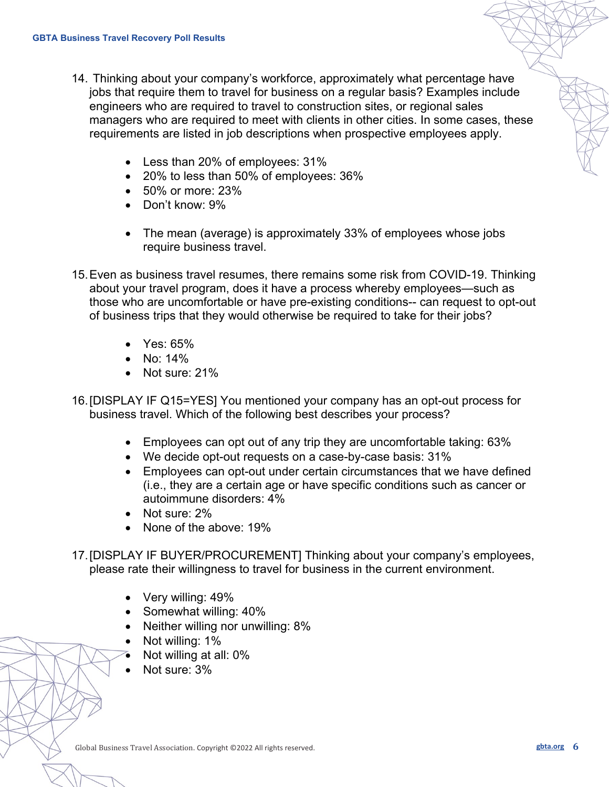- 14. Thinking about your company's workforce, approximately what percentage have jobs that require them to travel for business on a regular basis? Examples include engineers who are required to travel to construction sites, or regional sales managers who are required to meet with clients in other cities. In some cases, these requirements are listed in job descriptions when prospective employees apply.
	- Less than 20% of employees: 31%
	- 20% to less than 50% of employees: 36%
	- 50% or more: 23%
	- Don't know: 9%
	- The mean (average) is approximately 33% of employees whose jobs require business travel.
- 15.Even as business travel resumes, there remains some risk from COVID-19. Thinking about your travel program, does it have a process whereby employees—such as those who are uncomfortable or have pre-existing conditions-- can request to opt-out of business trips that they would otherwise be required to take for their jobs?
	- Yes: 65%
	- $\bullet$  No: 14%
	- Not sure: 21%
- 16.[DISPLAY IF Q15=YES] You mentioned your company has an opt-out process for business travel. Which of the following best describes your process?
	- Employees can opt out of any trip they are uncomfortable taking: 63%
	- We decide opt-out requests on a case-by-case basis: 31%
	- Employees can opt-out under certain circumstances that we have defined (i.e., they are a certain age or have specific conditions such as cancer or autoimmune disorders: 4%
	- Not sure: 2%
	- None of the above: 19%
- 17.[DISPLAY IF BUYER/PROCUREMENT] Thinking about your company's employees, please rate their willingness to travel for business in the current environment.
	- Very willing: 49%
	- Somewhat willing: 40%
	- Neither willing nor unwilling: 8%
	- Not willing: 1%
	- Not willing at all: 0%
	- Not sure: 3%

Global Business Travel Association. Copyright ©2022 All rights reserved. **6**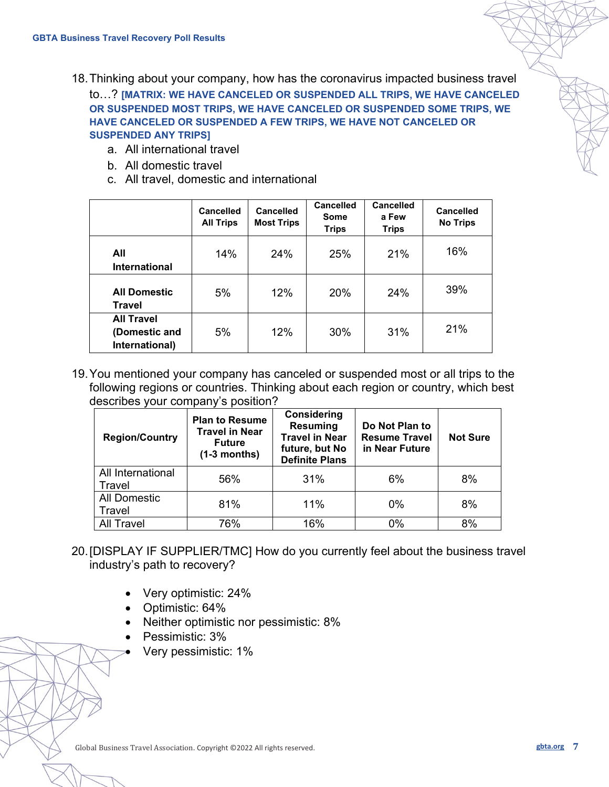- 18.Thinking about your company, how has the coronavirus impacted business travel to…? **[MATRIX: WE HAVE CANCELED OR SUSPENDED ALL TRIPS, WE HAVE CANCELED OR SUSPENDED MOST TRIPS, WE HAVE CANCELED OR SUSPENDED SOME TRIPS, WE HAVE CANCELED OR SUSPENDED A FEW TRIPS, WE HAVE NOT CANCELED OR SUSPENDED ANY TRIPS]**
	- a. All international travel
	- b. All domestic travel
	- c. All travel, domestic and international

|                                                      | <b>Cancelled</b><br><b>All Trips</b> | Cancelled<br><b>Most Trips</b> | <b>Cancelled</b><br>Some<br><b>Trips</b> | <b>Cancelled</b><br>a Few<br><b>Trips</b> | <b>Cancelled</b><br><b>No Trips</b> |
|------------------------------------------------------|--------------------------------------|--------------------------------|------------------------------------------|-------------------------------------------|-------------------------------------|
| All<br><b>International</b>                          | 14%                                  | 24%                            | 25%                                      | 21%                                       | 16%                                 |
| <b>All Domestic</b><br><b>Travel</b>                 | 5%                                   | 12%                            | 20%                                      | 24%                                       | 39%                                 |
| <b>All Travel</b><br>(Domestic and<br>International) | 5%                                   | 12%                            | 30%                                      | 31%                                       | 21%                                 |

19.You mentioned your company has canceled or suspended most or all trips to the following regions or countries. Thinking about each region or country, which best describes your company's position?

| <b>Region/Country</b>         | <b>Plan to Resume</b><br><b>Travel in Near</b><br><b>Future</b><br>$(1-3$ months) | <b>Considering</b><br><b>Resuming</b><br><b>Travel in Near</b><br>future, but No<br><b>Definite Plans</b> | Do Not Plan to<br><b>Resume Travel</b><br>in Near Future | <b>Not Sure</b> |
|-------------------------------|-----------------------------------------------------------------------------------|-----------------------------------------------------------------------------------------------------------|----------------------------------------------------------|-----------------|
| All International<br>Travel   | 56%                                                                               | 31%                                                                                                       | 6%                                                       | 8%              |
| <b>All Domestic</b><br>Travel | 81%                                                                               | 11%                                                                                                       | $0\%$                                                    | 8%              |
| <b>All Travel</b>             | 76%                                                                               | 16%                                                                                                       | 0%                                                       | 8%              |

- 20.[DISPLAY IF SUPPLIER/TMC] How do you currently feel about the business travel industry's path to recovery?
	- Very optimistic: 24%
	- Optimistic: 64%
	- Neither optimistic nor pessimistic: 8%
	- Pessimistic: 3%
	- Very pessimistic: 1%